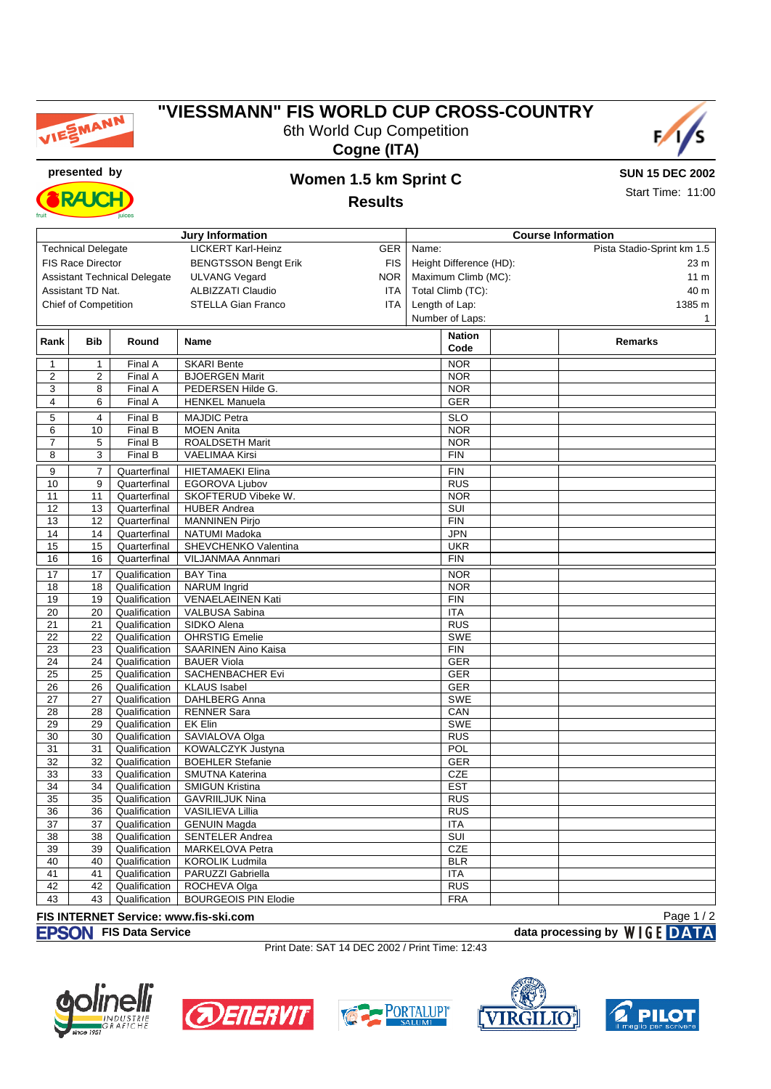

# **"VIESSMANN" FIS WORLD CUP CROSS-COUNTRY** 6th World Cup Competition





RA K

## **presented by Women 1.5 km Sprint C Results**

**SUN 15 DEC 2002**

Start Time: 11:00

|                          |                             |                                     | <b>Jury Information</b>     |            |                         | <b>Course Information</b>  |
|--------------------------|-----------------------------|-------------------------------------|-----------------------------|------------|-------------------------|----------------------------|
|                          | <b>Technical Delegate</b>   |                                     | <b>LICKERT Karl-Heinz</b>   | GER        | Name:                   | Pista Stadio-Sprint km 1.5 |
| <b>FIS Race Director</b> |                             |                                     | <b>BENGTSSON Bengt Erik</b> | <b>FIS</b> | Height Difference (HD): | 23 m                       |
|                          |                             | <b>Assistant Technical Delegate</b> | <b>ULVANG Vegard</b>        | <b>NOR</b> | Maximum Climb (MC):     | 11 <sub>m</sub>            |
|                          | Assistant TD Nat.           |                                     | <b>ALBIZZATI Claudio</b>    | ITA        | Total Climb (TC):       | 40 m                       |
|                          | <b>Chief of Competition</b> |                                     | <b>STELLA Gian Franco</b>   | ITA.       | Length of Lap:          | 1385 m                     |
|                          |                             |                                     |                             |            | Number of Laps:         | $\mathbf 1$                |
|                          |                             |                                     |                             |            |                         |                            |
| Rank                     | <b>Bib</b>                  | Round                               | <b>Name</b>                 |            | <b>Nation</b><br>Code   | <b>Remarks</b>             |
| 1                        | 1                           | Final A                             | <b>SKARI Bente</b>          |            | <b>NOR</b>              |                            |
| $\overline{c}$           | 2                           | Final A                             | <b>BJOERGEN Marit</b>       |            | <b>NOR</b>              |                            |
| 3                        | 8                           | Final A                             | PEDERSEN Hilde G.           |            | <b>NOR</b>              |                            |
| $\overline{4}$           | 6                           | Final A                             | <b>HENKEL Manuela</b>       |            | <b>GER</b>              |                            |
| 5                        | 4                           | Final B                             | <b>MAJDIC Petra</b>         |            | <b>SLO</b>              |                            |
| 6                        | $10$                        | Final B                             | <b>MOEN Anita</b>           |            | <b>NOR</b>              |                            |
| $\overline{7}$           | 5                           | Final B                             | ROALDSETH Marit             |            | <b>NOR</b>              |                            |
| 8                        | 3                           | Final B                             | <b>VAELIMAA Kirsi</b>       |            | <b>FIN</b>              |                            |
| 9                        | $\overline{7}$              | Quarterfinal                        | <b>HIETAMAEKI Elina</b>     |            | FIN                     |                            |
| 10                       | 9                           | Quarterfinal                        | EGOROVA Ljubov              |            | <b>RUS</b>              |                            |
| 11                       | 11                          | Quarterfinal                        | SKOFTERUD Vibeke W.         |            | <b>NOR</b>              |                            |
| 12                       | 13                          | Quarterfinal                        | <b>HUBER Andrea</b>         |            | $\overline{\text{SUI}}$ |                            |
| 13                       | 12                          | Quarterfinal                        | <b>MANNINEN Pirjo</b>       |            | <b>FIN</b>              |                            |
| 14                       | 14                          | Quarterfinal                        | <b>NATUMI Madoka</b>        |            | <b>JPN</b>              |                            |
| 15                       | 15                          | Quarterfinal                        | SHEVCHENKO Valentina        |            | <b>UKR</b>              |                            |
| 16                       | 16                          | Quarterfinal                        | VILJANMAA Annmari           |            | <b>FIN</b>              |                            |
| 17                       | 17                          | Qualification                       | <b>BAY</b> Tina             |            | <b>NOR</b>              |                            |
| 18                       | 18                          | Qualification                       | <b>NARUM</b> Ingrid         |            | <b>NOR</b>              |                            |
| 19                       | 19                          | Qualification                       | <b>VENAELAEINEN Kati</b>    |            | <b>FIN</b>              |                            |
| 20                       | 20                          | Qualification                       | VALBUSA Sabina              |            | <b>ITA</b>              |                            |
| $\overline{21}$          | 21                          | Qualification                       | SIDKO Alena                 |            | $\overline{RUS}$        |                            |
| $\overline{22}$          | $\overline{22}$             | Qualification                       | <b>OHRSTIG Emelie</b>       |            | <b>SWE</b>              |                            |
| 23                       | 23                          | Qualification                       | SAARINEN Aino Kaisa         |            | <b>FIN</b>              |                            |
| 24                       | 24                          | Qualification                       | <b>BAUER Viola</b>          |            | <b>GER</b>              |                            |
| 25                       | $\overline{25}$             | Qualification                       | <b>SACHENBACHER Evi</b>     |            | GER                     |                            |
| 26                       | 26                          | Qualification                       | <b>KLAUS</b> Isabel         |            | <b>GER</b>              |                            |
| 27                       | 27                          | Qualification                       | DAHLBERG Anna               |            | SWE                     |                            |
| 28                       | 28                          | Qualification                       | <b>RENNER Sara</b>          |            | CAN                     |                            |
| 29                       | 29                          | Qualification                       | <b>EK Elin</b>              |            | <b>SWE</b>              |                            |
| 30                       | 30                          | Qualification                       | SAVIALOVA Olga              |            | <b>RUS</b>              |                            |
| 31                       | 31                          | Qualification                       | KOWALCZYK Justyna           |            | POL                     |                            |
| 32                       | 32                          | Qualification                       | <b>BOEHLER Stefanie</b>     |            | GER                     |                            |
| 33                       | 33                          | Qualification                       | SMUTNA Katerina             |            | <b>CZE</b>              |                            |
| 34                       | 34                          | Qualification                       | <b>SMIGUN Kristina</b>      |            | <b>EST</b>              |                            |
| $\overline{35}$          | $\overline{35}$             | Qualification                       | <b>GAVRIILJUK Nina</b>      |            | <b>RUS</b>              |                            |
| 36                       | 36                          | Qualification                       | VASILIEVA Lillia            |            | <b>RUS</b>              |                            |
| 37                       | 37                          | Qualification                       | <b>GENUIN Magda</b>         |            | <b>ITA</b>              |                            |
| $\overline{38}$          | 38                          | Qualification                       | <b>SENTELER Andrea</b>      |            | SUI                     |                            |
| 39                       | 39                          | Qualification                       | MARKELOVA Petra             |            | <b>CZE</b>              |                            |
| 40                       | 40                          | Qualification                       | <b>KOROLIK Ludmila</b>      |            | <b>BLR</b>              |                            |
| 41                       | 41                          | Qualification                       | PARUZZI Gabriella           |            | <b>ITA</b>              |                            |
| 42                       | 42                          | Qualification                       | ROCHEVA Olga                |            | <b>RUS</b>              |                            |
| 43                       | 43                          | Qualification                       | <b>BOURGEOIS PIN Elodie</b> |            | <b>FRA</b>              |                            |

#### **FIS INTERNET Service: www.fis-ski.com**

**FISON** FIS Data Service **data processing by** WIGE DATA

Page 1 / 2

Print Date: SAT 14 DEC 2002 / Print Time: 12:43